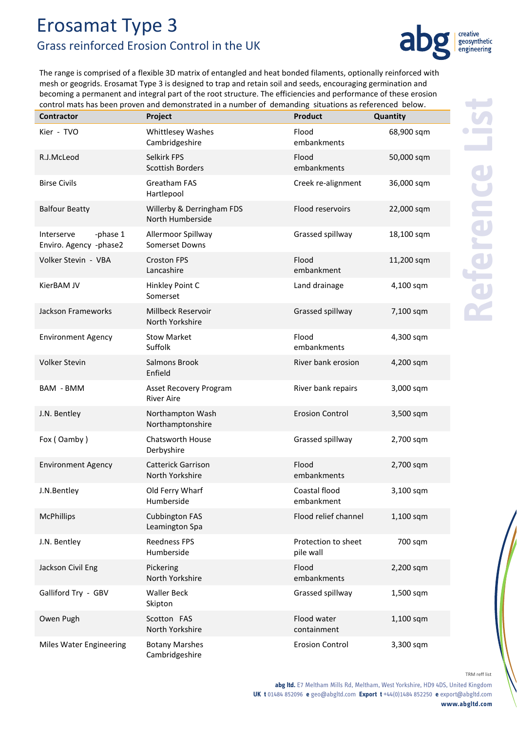## Erosamat Type 3 Grass reinforced Erosion Control in the UK



The range is comprised of a flexible 3D matrix of entangled and heat bonded filaments, optionally reinforced with mesh or geogrids. Erosamat Type 3 is designed to trap and retain soil and seeds, encouraging germination and becoming a permanent and integral part of the root structure. The efficiencies and performance of these erosion control mats has been proven and demonstrated in a number of demanding situations as referenced below.

| <b>Contractor</b>                                | Project                                       | <b>Product</b>                   | Quantity   |
|--------------------------------------------------|-----------------------------------------------|----------------------------------|------------|
| Kier - TVO                                       | Whittlesey Washes<br>Cambridgeshire           | Flood<br>embankments             | 68,900 sqm |
| R.J.McLeod                                       | Selkirk FPS<br><b>Scottish Borders</b>        | Flood<br>embankments             | 50,000 sqm |
| <b>Birse Civils</b>                              | Greatham FAS<br>Hartlepool                    | Creek re-alignment               | 36,000 sqm |
| <b>Balfour Beatty</b>                            | Willerby & Derringham FDS<br>North Humberside | Flood reservoirs                 | 22,000 sqm |
| -phase 1<br>Interserve<br>Enviro. Agency -phase2 | Allermoor Spillway<br><b>Somerset Downs</b>   | Grassed spillway                 | 18,100 sqm |
| Volker Stevin - VBA                              | <b>Croston FPS</b><br>Lancashire              | Flood<br>embankment              | 11,200 sqm |
| KierBAM JV                                       | Hinkley Point C<br>Somerset                   | Land drainage                    | 4,100 sqm  |
| Jackson Frameworks                               | Millbeck Reservoir<br>North Yorkshire         | Grassed spillway                 | 7,100 sqm  |
| <b>Environment Agency</b>                        | <b>Stow Market</b><br>Suffolk                 | Flood<br>embankments             | 4,300 sqm  |
| Volker Stevin                                    | Salmons Brook<br>Enfield                      | River bank erosion               | 4,200 sqm  |
| <b>BAM - BMM</b>                                 | Asset Recovery Program<br><b>River Aire</b>   | River bank repairs               | 3,000 sqm  |
| J.N. Bentley                                     | Northampton Wash<br>Northamptonshire          | <b>Erosion Control</b>           | 3,500 sqm  |
| Fox (Oamby)                                      | <b>Chatsworth House</b><br>Derbyshire         | Grassed spillway                 | 2,700 sqm  |
| <b>Environment Agency</b>                        | <b>Catterick Garrison</b><br>North Yorkshire  | Flood<br>embankments             | 2,700 sqm  |
| J.N.Bentley                                      | Old Ferry Wharf<br>Humberside                 | Coastal flood<br>embankment      | 3,100 sqm  |
| <b>McPhillips</b>                                | <b>Cubbington FAS</b><br>Leamington Spa       | Flood relief channel             | 1,100 sqm  |
| J.N. Bentley                                     | <b>Reedness FPS</b><br>Humberside             | Protection to sheet<br>pile wall | 700 sqm    |
| Jackson Civil Eng                                | Pickering<br>North Yorkshire                  | Flood<br>embankments             | 2,200 sqm  |
| Galliford Try - GBV                              | <b>Waller Beck</b><br>Skipton                 | Grassed spillway                 | 1,500 sqm  |
| Owen Pugh                                        | Scotton FAS<br>North Yorkshire                | Flood water<br>containment       | 1,100 sqm  |
| <b>Miles Water Engineering</b>                   | <b>Botany Marshes</b><br>Cambridgeshire       | <b>Erosion Control</b>           | 3,300 sqm  |

TRM reff list